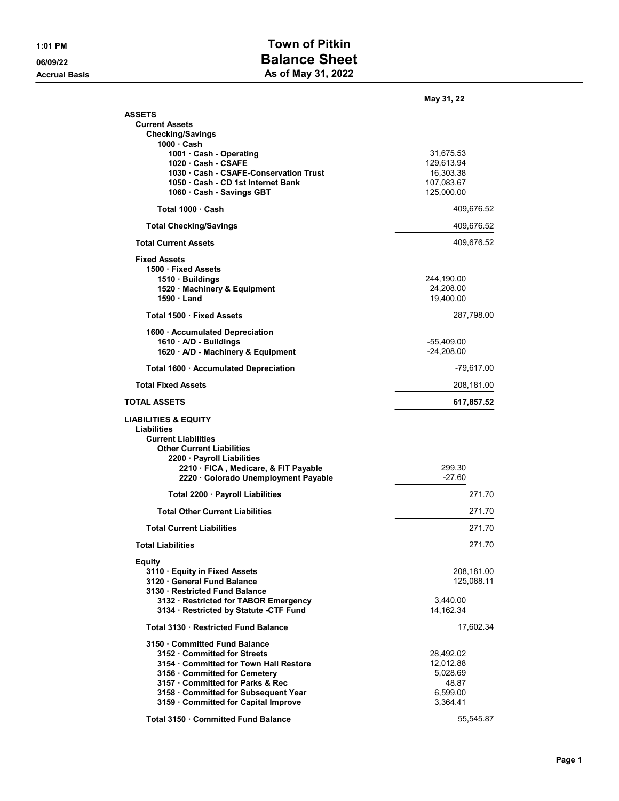## 1:01 PM Town of Pitkin 06/09/22 Balance Sheet Accrual Basis **As of May 31, 2022**

|                                                                              | May 31, 22   |
|------------------------------------------------------------------------------|--------------|
| <b>ASSETS</b>                                                                |              |
| <b>Current Assets</b>                                                        |              |
| <b>Checking/Savings</b><br>1000 · Cash                                       |              |
| 1001 · Cash - Operating                                                      | 31,675.53    |
| 1020 Cash - CSAFE                                                            | 129,613.94   |
| 1030 Cash - CSAFE-Conservation Trust                                         | 16,303.38    |
| 1050 Cash - CD 1st Internet Bank                                             | 107,083.67   |
| 1060 · Cash - Savings GBT                                                    | 125,000.00   |
| Total 1000 Cash                                                              | 409,676.52   |
| <b>Total Checking/Savings</b>                                                | 409,676.52   |
| <b>Total Current Assets</b>                                                  | 409,676.52   |
| <b>Fixed Assets</b>                                                          |              |
| 1500 Fixed Assets                                                            |              |
| 1510 · Buildings                                                             | 244,190.00   |
| 1520 · Machinery & Equipment                                                 | 24,208.00    |
| 1590 Land                                                                    | 19,400.00    |
| Total 1500 · Fixed Assets                                                    | 287,798.00   |
| 1600 · Accumulated Depreciation                                              |              |
| 1610 A/D - Buildings                                                         | -55,409.00   |
| 1620 · A/D - Machinery & Equipment                                           | $-24,208.00$ |
| Total 1600 · Accumulated Depreciation                                        | $-79,617.00$ |
| <b>Total Fixed Assets</b>                                                    | 208,181.00   |
| <b>TOTAL ASSETS</b>                                                          | 617,857.52   |
| <b>LIABILITIES &amp; EQUITY</b><br>Liabilities<br><b>Current Liabilities</b> |              |
| <b>Other Current Liabilities</b>                                             |              |
| 2200 · Payroll Liabilities<br>2210 · FICA, Medicare, & FIT Payable           | 299.30       |
| 2220 · Colorado Unemployment Payable                                         | $-27.60$     |
|                                                                              |              |
| Total 2200 · Payroll Liabilities                                             | 271.70       |
| <b>Total Other Current Liabilities</b>                                       | 271.70       |
| <b>Total Current Liabilities</b>                                             | 271.70       |
| <b>Total Liabilities</b>                                                     | 271.70       |
| Equity                                                                       |              |
| 3110 Equity in Fixed Assets                                                  | 208,181.00   |
| 3120 General Fund Balance                                                    | 125,088.11   |
| 3130 Restricted Fund Balance                                                 |              |
| 3132 · Restricted for TABOR Emergency                                        | 3,440.00     |
| 3134 · Restricted by Statute -CTF Fund                                       | 14,162.34    |
| Total 3130 · Restricted Fund Balance                                         | 17,602.34    |
| 3150 Committed Fund Balance                                                  |              |
| 3152 Committed for Streets                                                   | 28,492.02    |
| 3154 Committed for Town Hall Restore                                         | 12,012.88    |
| 3156 · Committed for Cemetery                                                | 5,028.69     |
| 3157 Committed for Parks & Rec                                               | 48.87        |
| 3158 Committed for Subsequent Year                                           | 6,599.00     |
| 3159 Committed for Capital Improve                                           | 3,364.41     |
| Total 3150 · Committed Fund Balance                                          | 55,545.87    |
|                                                                              |              |